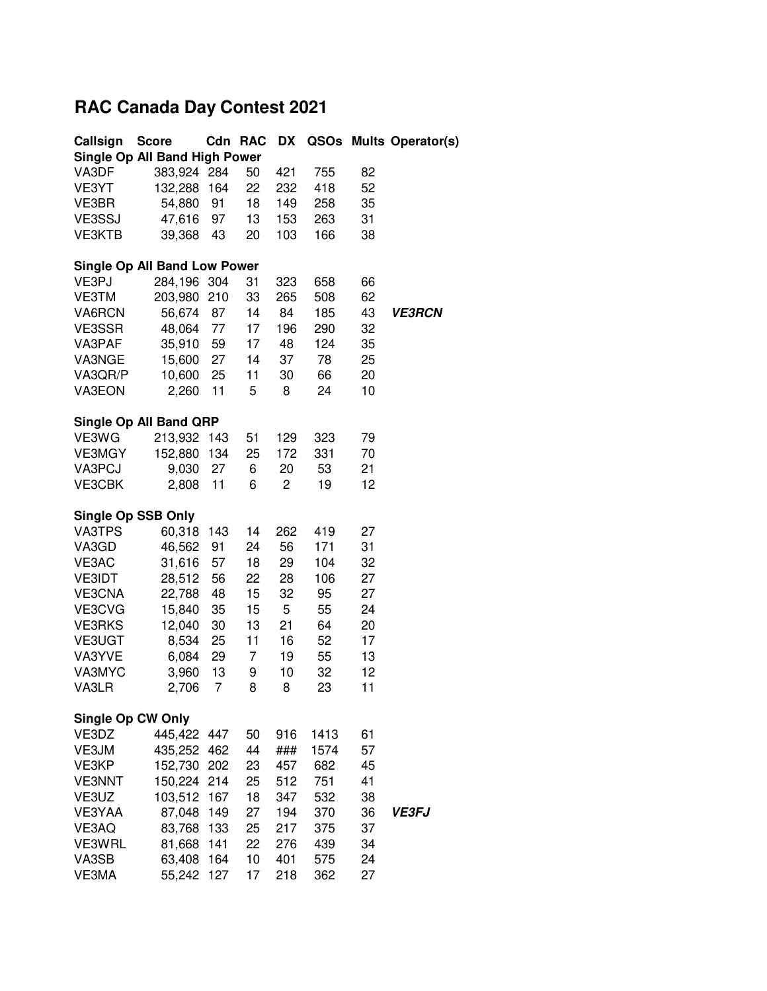## **RAC Canada Day Contest 2021**

| Callsign          | <b>Score</b>                        |     | Cdn RAC | DX  | QSOs |    | <b>Mults Operator(s)</b> |
|-------------------|-------------------------------------|-----|---------|-----|------|----|--------------------------|
|                   | Single Op All Band High Power       |     |         |     |      |    |                          |
| VA3DF             | 383,924 284                         |     | 50      | 421 | 755  | 82 |                          |
| VE3YT             | 132,288                             | 164 | 22      | 232 | 418  | 52 |                          |
| VE3BR             | 54,880                              | 91  | 18      | 149 | 258  | 35 |                          |
| VE3SSJ            | 47,616                              | 97  | 13      | 153 | 263  | 31 |                          |
| <b>VE3KTB</b>     | 39,368                              | 43  | 20      | 103 | 166  | 38 |                          |
|                   |                                     |     |         |     |      |    |                          |
|                   | <b>Single Op All Band Low Power</b> |     |         |     |      |    |                          |
| VE3PJ             | 284,196 304                         |     | 31      | 323 | 658  | 66 |                          |
| VE3TM             | 203,980                             | 210 | 33      | 265 | 508  | 62 |                          |
| VA6RCN            | 56,674                              | 87  | 14      | 84  | 185  | 43 | <b>VE3RCN</b>            |
| VE3SSR            | 48,064                              | 77  | 17      | 196 | 290  | 32 |                          |
| VA3PAF            | 35,910                              | 59  | 17      | 48  | 124  | 35 |                          |
| VA3NGE            | 15,600                              | 27  | 14      | 37  | 78   | 25 |                          |
| VA3QR/P           | 10,600                              | 25  | 11      | 30  | 66   | 20 |                          |
| VA3EON            | 2,260                               | 11  | 5       | 8   | 24   | 10 |                          |
|                   |                                     |     |         |     |      |    |                          |
|                   | Single Op All Band QRP              |     |         |     |      |    |                          |
| VE3WG             | 213,932                             | 143 | 51      | 129 | 323  | 79 |                          |
| VE3MGY            | 152,880                             | 134 | 25      | 172 | 331  | 70 |                          |
| VA3PCJ            | 9,030                               | 27  | 6       | 20  | 53   | 21 |                          |
| VE3CBK            |                                     |     | 6       | 2   | 19   | 12 |                          |
|                   | 2,808                               | 11  |         |     |      |    |                          |
|                   | Single Op SSB Only                  |     |         |     |      |    |                          |
| VA3TPS            | 60,318                              | 143 | 14      | 262 | 419  | 27 |                          |
| VA3GD             | 46,562                              | 91  | 24      | 56  | 171  | 31 |                          |
| VE3AC             | 31,616                              | 57  | 18      | 29  | 104  | 32 |                          |
| <b>VE3IDT</b>     | 28,512                              | 56  | 22      | 28  | 106  | 27 |                          |
| VE3CNA            | 22,788                              | 48  | 15      | 32  | 95   | 27 |                          |
| VE3CVG            | 15,840                              | 35  | 15      | 5   | 55   | 24 |                          |
| <b>VE3RKS</b>     | 12,040                              | 30  | 13      | 21  | 64   | 20 |                          |
| VE3UGT            | 8,534                               | 25  | 11      | 16  | 52   | 17 |                          |
| VA3YVE            | 6,084                               | 29  | 7       | 19  | 55   | 13 |                          |
| VA3MYC            | 3,960                               | 13  |         | 10  | 32   | 12 |                          |
|                   | 2,706                               | 7   | 9<br>8  |     | 23   | 11 |                          |
| VA3LR             |                                     |     |         | 8   |      |    |                          |
| Single Op CW Only |                                     |     |         |     |      |    |                          |
| VE3DZ             | 445,422                             | 447 | 50      | 916 | 1413 | 61 |                          |
| VE3JM             | 435,252                             | 462 | 44      | ### | 1574 | 57 |                          |
| VE3KP             | 152,730                             | 202 | 23      | 457 | 682  | 45 |                          |
| <b>VE3NNT</b>     | 150,224                             | 214 | 25      | 512 | 751  | 41 |                          |
| VE3UZ             | 103,512                             | 167 | 18      | 347 | 532  | 38 |                          |
| VE3YAA            | 87,048                              | 149 | 27      | 194 | 370  | 36 | <b>VE3FJ</b>             |
|                   |                                     |     |         |     |      | 37 |                          |
| VE3AQ             | 83,768                              | 133 | 25      | 217 | 375  |    |                          |
| VE3WRL            | 81,668                              | 141 | 22      | 276 | 439  | 34 |                          |
| VA3SB             | 63,408                              | 164 | 10      | 401 | 575  | 24 |                          |
| VE3MA             | 55,242 127                          |     | 17      | 218 | 362  | 27 |                          |